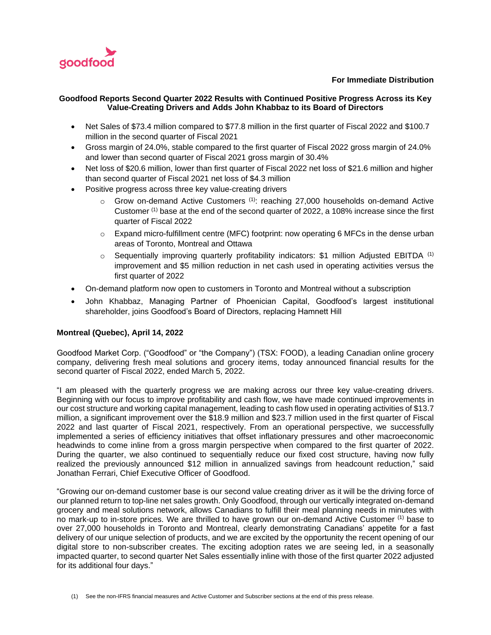

## **For Immediate Distribution**

## **Goodfood Reports Second Quarter 2022 Results with Continued Positive Progress Across its Key Value-Creating Drivers and Adds John Khabbaz to its Board of Directors**

- Net Sales of \$73.4 million compared to \$77.8 million in the first quarter of Fiscal 2022 and \$100.7 million in the second quarter of Fiscal 2021
- Gross margin of 24.0%, stable compared to the first quarter of Fiscal 2022 gross margin of 24.0% and lower than second quarter of Fiscal 2021 gross margin of 30.4%
- Net loss of \$20.6 million, lower than first quarter of Fiscal 2022 net loss of \$21.6 million and higher than second quarter of Fiscal 2021 net loss of \$4.3 million
- Positive progress across three key value-creating drivers
	- $\circ$  Grow on-demand Active Customers <sup>(1)</sup>: reaching 27,000 households on-demand Active Customer (1) base at the end of the second quarter of 2022, a 108% increase since the first quarter of Fiscal 2022
	- o Expand micro-fulfillment centre (MFC) footprint: now operating 6 MFCs in the dense urban areas of Toronto, Montreal and Ottawa
	- Sequentially improving quarterly profitability indicators: \$1 million Adjusted EBITDA (1) improvement and \$5 million reduction in net cash used in operating activities versus the first quarter of 2022
- On-demand platform now open to customers in Toronto and Montreal without a subscription
- John Khabbaz, Managing Partner of Phoenician Capital, Goodfood's largest institutional shareholder, joins Goodfood's Board of Directors, replacing Hamnett Hill

## **Montreal (Quebec), April 14, 2022**

Goodfood Market Corp. ("Goodfood" or "the Company") (TSX: FOOD), a leading Canadian online grocery company, delivering fresh meal solutions and grocery items, today announced financial results for the second quarter of Fiscal 2022, ended March 5, 2022.

"I am pleased with the quarterly progress we are making across our three key value-creating drivers. Beginning with our focus to improve profitability and cash flow, we have made continued improvements in our cost structure and working capital management, leading to cash flow used in operating activities of \$13.7 million, a significant improvement over the \$18.9 million and \$23.7 million used in the first quarter of Fiscal 2022 and last quarter of Fiscal 2021, respectively. From an operational perspective, we successfully implemented a series of efficiency initiatives that offset inflationary pressures and other macroeconomic headwinds to come inline from a gross margin perspective when compared to the first quarter of 2022. During the quarter, we also continued to sequentially reduce our fixed cost structure, having now fully realized the previously announced \$12 million in annualized savings from headcount reduction," said Jonathan Ferrari, Chief Executive Officer of Goodfood.

"Growing our on-demand customer base is our second value creating driver as it will be the driving force of our planned return to top-line net sales growth. Only Goodfood, through our vertically integrated on-demand grocery and meal solutions network, allows Canadians to fulfill their meal planning needs in minutes with no mark-up to in-store prices. We are thrilled to have grown our on-demand Active Customer (1) base to over 27,000 households in Toronto and Montreal, clearly demonstrating Canadians' appetite for a fast delivery of our unique selection of products, and we are excited by the opportunity the recent opening of our digital store to non-subscriber creates. The exciting adoption rates we are seeing led, in a seasonally impacted quarter, to second quarter Net Sales essentially inline with those of the first quarter 2022 adjusted for its additional four days."